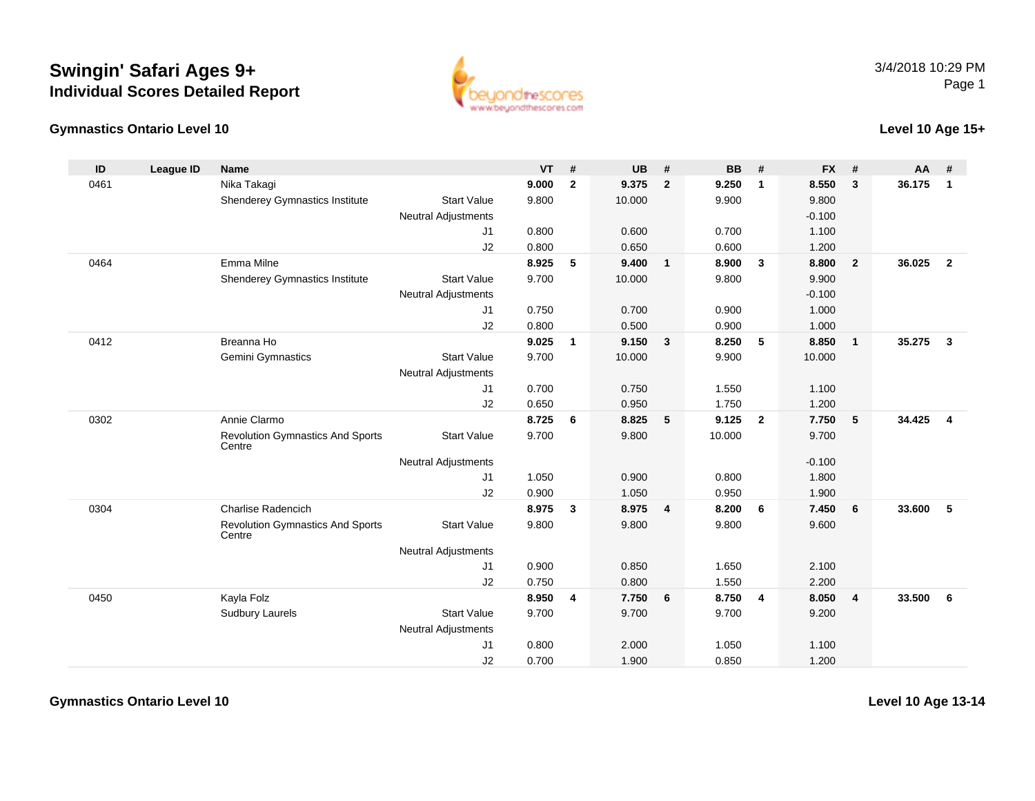## **Swingin' Safari Ages 9+Individual Scores Detailed Report**

## **Gymnastics Ontario Level 10**



## **Level 10 Age 15+**

| ID   | <b>League ID</b> | <b>Name</b>                                       |                            | <b>VT</b> | #            | <b>UB</b> | #              | <b>BB</b> | #                       | <b>FX</b> | #                       | AA     | #              |
|------|------------------|---------------------------------------------------|----------------------------|-----------|--------------|-----------|----------------|-----------|-------------------------|-----------|-------------------------|--------|----------------|
| 0461 |                  | Nika Takagi                                       |                            | 9.000     | $\mathbf{2}$ | 9.375     | $\overline{2}$ | 9.250     | $\overline{1}$          | 8.550     | 3                       | 36.175 | $\mathbf{1}$   |
|      |                  | Shenderey Gymnastics Institute                    | <b>Start Value</b>         | 9.800     |              | 10.000    |                | 9.900     |                         | 9.800     |                         |        |                |
|      |                  |                                                   | <b>Neutral Adjustments</b> |           |              |           |                |           |                         | $-0.100$  |                         |        |                |
|      |                  |                                                   | J1                         | 0.800     |              | 0.600     |                | 0.700     |                         | 1.100     |                         |        |                |
|      |                  |                                                   | J2                         | 0.800     |              | 0.650     |                | 0.600     |                         | 1.200     |                         |        |                |
| 0464 |                  | Emma Milne                                        |                            | 8.925     | 5            | 9.400     | $\mathbf{1}$   | 8.900     | $\overline{\mathbf{3}}$ | 8.800     | $\overline{2}$          | 36.025 | $\overline{2}$ |
|      |                  | Shenderey Gymnastics Institute                    | <b>Start Value</b>         | 9.700     |              | 10.000    |                | 9.800     |                         | 9.900     |                         |        |                |
|      |                  |                                                   | <b>Neutral Adjustments</b> |           |              |           |                |           |                         | $-0.100$  |                         |        |                |
|      |                  |                                                   | J1                         | 0.750     |              | 0.700     |                | 0.900     |                         | 1.000     |                         |        |                |
|      |                  |                                                   | J2                         | 0.800     |              | 0.500     |                | 0.900     |                         | 1.000     |                         |        |                |
| 0412 |                  | Breanna Ho                                        |                            | 9.025     | $\mathbf{1}$ | 9.150     | $\mathbf{3}$   | 8.250     | 5                       | 8.850     | $\overline{1}$          | 35.275 | $\mathbf{3}$   |
|      |                  | Gemini Gymnastics                                 | <b>Start Value</b>         | 9.700     |              | 10.000    |                | 9.900     |                         | 10.000    |                         |        |                |
|      |                  |                                                   | <b>Neutral Adjustments</b> |           |              |           |                |           |                         |           |                         |        |                |
|      |                  |                                                   | J1                         | 0.700     |              | 0.750     |                | 1.550     |                         | 1.100     |                         |        |                |
|      |                  |                                                   | J2                         | 0.650     |              | 0.950     |                | 1.750     |                         | 1.200     |                         |        |                |
| 0302 |                  | Annie Clarmo                                      |                            | 8.725     | 6            | 8.825     | 5              | 9.125     | $\overline{2}$          | 7.750     | $5\phantom{.0}$         | 34.425 | $\overline{4}$ |
|      |                  | <b>Revolution Gymnastics And Sports</b><br>Centre | <b>Start Value</b>         | 9.700     |              | 9.800     |                | 10.000    |                         | 9.700     |                         |        |                |
|      |                  |                                                   | <b>Neutral Adjustments</b> |           |              |           |                |           |                         | $-0.100$  |                         |        |                |
|      |                  |                                                   | J1                         | 1.050     |              | 0.900     |                | 0.800     |                         | 1.800     |                         |        |                |
|      |                  |                                                   | J2                         | 0.900     |              | 1.050     |                | 0.950     |                         | 1.900     |                         |        |                |
| 0304 |                  | Charlise Radencich                                |                            | 8.975     | 3            | 8.975 4   |                | 8.200     | 6                       | 7.450     | 6                       | 33.600 | 5              |
|      |                  | <b>Revolution Gymnastics And Sports</b><br>Centre | <b>Start Value</b>         | 9.800     |              | 9.800     |                | 9.800     |                         | 9.600     |                         |        |                |
|      |                  |                                                   | <b>Neutral Adjustments</b> |           |              |           |                |           |                         |           |                         |        |                |
|      |                  |                                                   | J1                         | 0.900     |              | 0.850     |                | 1.650     |                         | 2.100     |                         |        |                |
|      |                  |                                                   | J2                         | 0.750     |              | 0.800     |                | 1.550     |                         | 2.200     |                         |        |                |
| 0450 |                  | Kayla Folz                                        |                            | 8.950     | 4            | 7.750     | 6              | 8.750     | 4                       | 8.050     | $\overline{\mathbf{4}}$ | 33.500 | 6              |
|      |                  | <b>Sudbury Laurels</b>                            | <b>Start Value</b>         | 9.700     |              | 9.700     |                | 9.700     |                         | 9.200     |                         |        |                |
|      |                  |                                                   | <b>Neutral Adjustments</b> |           |              |           |                |           |                         |           |                         |        |                |
|      |                  |                                                   | J <sub>1</sub>             | 0.800     |              | 2.000     |                | 1.050     |                         | 1.100     |                         |        |                |
|      |                  |                                                   | J2                         | 0.700     |              | 1.900     |                | 0.850     |                         | 1.200     |                         |        |                |